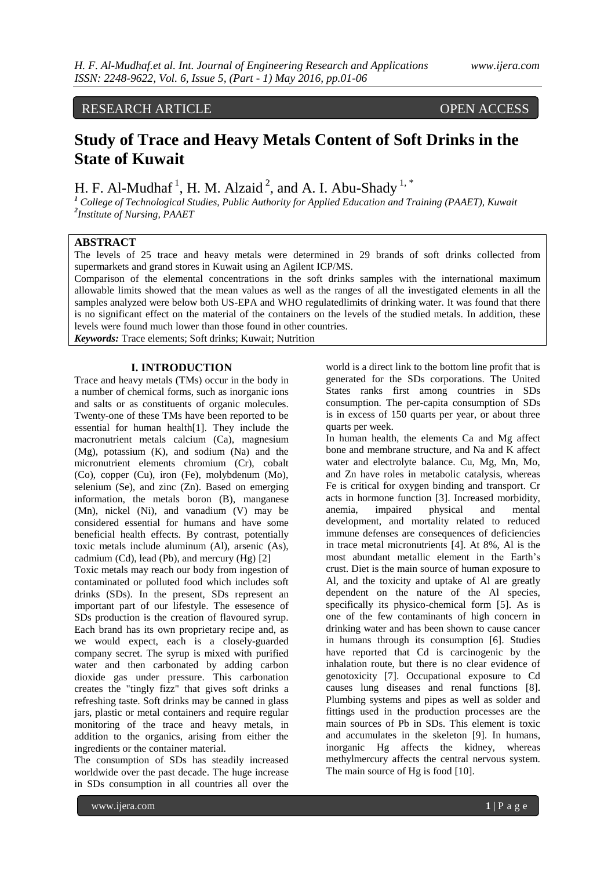## RESEARCH ARTICLE OPEN ACCESS

# **Study of Trace and Heavy Metals Content of Soft Drinks in the State of Kuwait**

H. F. Al-Mudhaf<sup>1</sup>, H. M. Alzaid<sup>2</sup>, and A. I. Abu-Shady<sup>1,\*</sup>

*<sup>1</sup> College of Technological Studies, Public Authority for Applied Education and Training (PAAET), Kuwait 2 Institute of Nursing, PAAET* 

### **ABSTRACT**

The levels of 25 trace and heavy metals were determined in 29 brands of soft drinks collected from supermarkets and grand stores in Kuwait using an Agilent ICP/MS.

Comparison of the elemental concentrations in the soft drinks samples with the international maximum allowable limits showed that the mean values as well as the ranges of all the investigated elements in all the samples analyzed were below both US-EPA and WHO regulatedlimits of drinking water. It was found that there is no significant effect on the material of the containers on the levels of the studied metals. In addition, these levels were found much lower than those found in other countries.

*Keywords:* Trace elements; Soft drinks; Kuwait; Nutrition

### **I. INTRODUCTION**

Trace and heavy metals (TMs) occur in the body in a number of chemical forms, such as inorganic ions and salts or as constituents of organic molecules. Twenty-one of these TMs have been reported to be essential for human health[1]. They include the macronutrient metals calcium (Ca), magnesium (Mg), potassium (K), and sodium (Na) and the micronutrient elements chromium (Cr), cobalt (Co), copper (Cu), iron (Fe), molybdenum (Mo), selenium (Se), and zinc (Zn). Based on emerging information, the metals boron (B), manganese (Mn), nickel (Ni), and vanadium (V) may be considered essential for humans and have some beneficial health effects. By contrast, potentially toxic metals include aluminum (Al), arsenic (As), cadmium (Cd), lead (Pb), and mercury (Hg) [2]

Toxic metals may reach our body from ingestion of contaminated or polluted food which includes soft drinks (SDs). In the present, SDs represent an important part of our lifestyle. The essesence of SDs production is the creation of flavoured syrup. Each brand has its own proprietary recipe and, as we would expect, each is a closely-guarded company secret. The syrup is mixed with purified water and then carbonated by adding carbon dioxide gas under pressure. This carbonation creates the "tingly fizz" that gives soft drinks a refreshing taste. Soft drinks may be canned in glass jars, plastic or metal containers and require regular monitoring of the trace and heavy metals, in addition to the organics, arising from either the ingredients or the container material.

The consumption of SDs has steadily increased worldwide over the past decade. The huge increase in SDs consumption in all countries all over the

world is a direct link to the bottom line profit that is generated for the SDs corporations. The United States ranks first among countries in SDs consumption. The per-capita consumption of SDs is in excess of 150 quarts per year, or about three quarts per week.

In human health, the elements Ca and Mg affect bone and membrane structure, and Na and K affect water and electrolyte balance. Cu, Mg, Mn, Mo, and Zn have roles in metabolic catalysis, whereas Fe is critical for oxygen binding and transport. Cr acts in hormone function [3]. Increased morbidity, anemia, impaired physical and mental development, and mortality related to reduced immune defenses are consequences of deficiencies in trace metal micronutrients [4]. At 8%, Al is the most abundant metallic element in the Earth's crust. Diet is the main source of human exposure to Al, and the toxicity and uptake of Al are greatly dependent on the nature of the Al species, specifically its physico-chemical form [5]. As is one of the few contaminants of high concern in drinking water and has been shown to cause cancer in humans through its consumption [6]. Studies have reported that Cd is carcinogenic by the inhalation route, but there is no clear evidence of genotoxicity [7]. Occupational exposure to Cd causes lung diseases and renal functions [8]. Plumbing systems and pipes as well as solder and fittings used in the production processes are the main sources of Pb in SDs. This element is toxic and accumulates in the skeleton [9]. In humans, inorganic Hg affects the kidney, whereas methylmercury affects the central nervous system. The main source of Hg is food [10].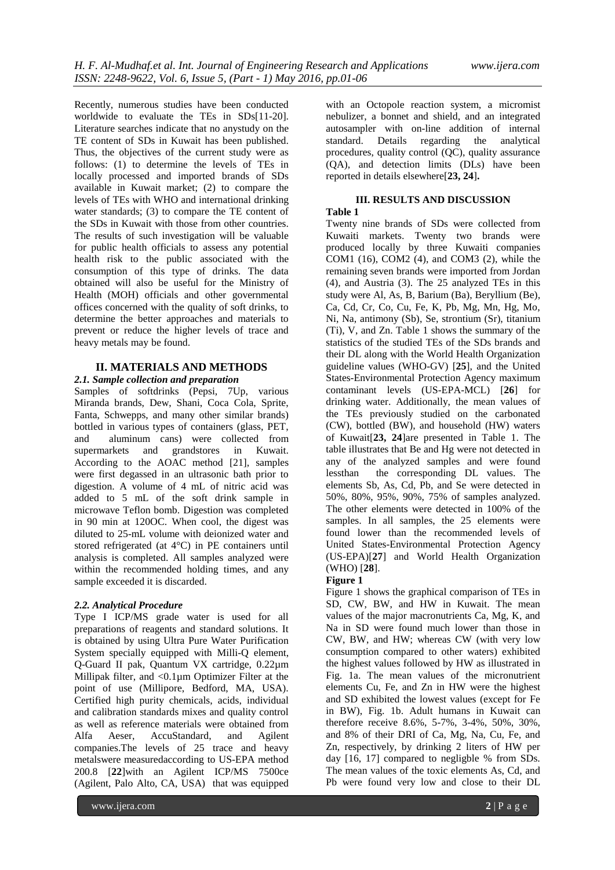Recently, numerous studies have been conducted worldwide to evaluate the TEs in SDs[11-20]. Literature searches indicate that no anystudy on the TE content of SDs in Kuwait has been published. Thus, the objectives of the current study were as follows: (1) to determine the levels of TEs in locally processed and imported brands of SDs available in Kuwait market; (2) to compare the levels of TEs with WHO and international drinking water standards; (3) to compare the TE content of the SDs in Kuwait with those from other countries. The results of such investigation will be valuable for public health officials to assess any potential health risk to the public associated with the consumption of this type of drinks. The data obtained will also be useful for the Ministry of Health (MOH) officials and other governmental offices concerned with the quality of soft drinks, to determine the better approaches and materials to prevent or reduce the higher levels of trace and heavy metals may be found.

### **II. MATERIALS AND METHODS**

### *2.1. Sample collection and preparation*

Samples of softdrinks (Pepsi, 7Up, various Miranda brands, Dew, Shani, Coca Cola, Sprite, Fanta, Schwepps, and many other similar brands) bottled in various types of containers (glass, PET, and aluminum cans) were collected from supermarkets and grandstores in Kuwait. According to the AOAC method [21], samples were first degassed in an ultrasonic bath prior to digestion. A volume of 4 mL of nitric acid was added to 5 mL of the soft drink sample in microwave Teflon bomb. Digestion was completed in 90 min at 120OC. When cool, the digest was diluted to 25-mL volume with deionized water and stored refrigerated (at 4°C) in PE containers until analysis is completed. All samples analyzed were within the recommended holding times, and any sample exceeded it is discarded.

#### *2.2. Analytical Procedure*

Type I ICP/MS grade water is used for all preparations of reagents and standard solutions. It is obtained by using Ultra Pure Water Purification System specially equipped with Milli-Q element, Q-Guard II pak, Quantum VX cartridge, 0.22µm Millipak filter, and <0.1µm Optimizer Filter at the point of use (Millipore, Bedford, MA, USA). Certified high purity chemicals, acids, individual and calibration standards mixes and quality control as well as reference materials were obtained from Alfa Aeser, AccuStandard, and Agilent companies.The levels of 25 trace and heavy metalswere measuredaccording to US-EPA method 200.8 [**22**]with an Agilent ICP/MS 7500ce (Agilent, Palo Alto, CA, USA) that was equipped

with an Octopole reaction system, a micromist nebulizer, a bonnet and shield, and an integrated autosampler with on-line addition of internal standard. Details regarding the analytical procedures, quality control (QC), quality assurance (QA), and detection limits (DLs) have been reported in details elsewhere[**23, 24**]**.**

### **III. RESULTS AND DISCUSSION**

## **Table 1**

Twenty nine brands of SDs were collected from Kuwaiti markets. Twenty two brands were produced locally by three Kuwaiti companies COM1 (16), COM2 (4), and COM3 (2), while the remaining seven brands were imported from Jordan (4), and Austria (3). The 25 analyzed TEs in this study were Al, As, B, Barium (Ba), Beryllium (Be), Ca, Cd, Cr, Co, Cu, Fe, K, Pb, Mg, Mn, Hg, Mo, Ni, Na, antimony (Sb), Se, strontium (Sr), titanium (Ti), V, and Zn. Table 1 shows the summary of the statistics of the studied TEs of the SDs brands and their DL along with the World Health Organization guideline values (WHO-GV) [**25**], and the United States-Environmental Protection Agency maximum contaminant levels (US-EPA-MCL) [**26**] for drinking water. Additionally, the mean values of the TEs previously studied on the carbonated (CW), bottled (BW), and household (HW) waters of Kuwait[**23, 24**]are presented in Table 1. The table illustrates that Be and Hg were not detected in any of the analyzed samples and were found lessthan the corresponding DL values. The elements Sb, As, Cd, Pb, and Se were detected in 50%, 80%, 95%, 90%, 75% of samples analyzed. The other elements were detected in 100% of the samples. In all samples, the 25 elements were found lower than the recommended levels of United States-Environmental Protection Agency (US-EPA)[**27**] and World Health Organization (WHO) [**28**].

### **Figure 1**

Figure 1 shows the graphical comparison of TEs in SD, CW, BW, and HW in Kuwait. The mean values of the major macronutrients Ca, Mg, K, and Na in SD were found much lower than those in CW, BW, and HW; whereas CW (with very low consumption compared to other waters) exhibited the highest values followed by HW as illustrated in Fig. 1a. The mean values of the micronutrient elements Cu, Fe, and Zn in HW were the highest and SD exhibited the lowest values (except for Fe in BW), Fig. 1b. Adult humans in Kuwait can therefore receive 8.6%, 5-7%, 3-4%, 50%, 30%, and 8% of their DRI of Ca, Mg, Na, Cu, Fe, and Zn, respectively, by drinking 2 liters of HW per day [16, 17] compared to negligble % from SDs. The mean values of the toxic elements As, Cd, and Pb were found very low and close to their DL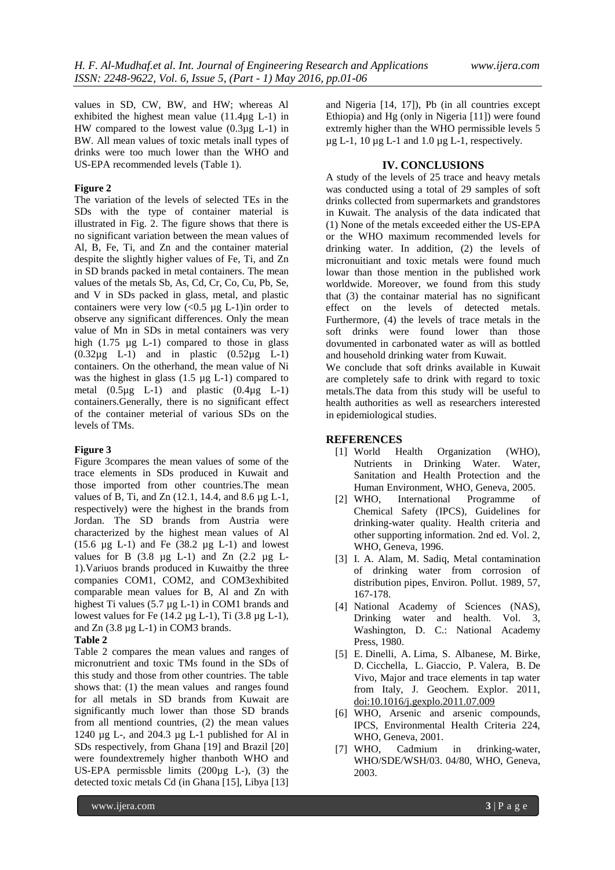values in SD, CW, BW, and HW; whereas Al exhibited the highest mean value  $(11.4\mu g L-1)$  in HW compared to the lowest value (0.3µg L-1) in BW. All mean values of toxic metals inall types of drinks were too much lower than the WHO and US-EPA recommended levels (Table 1).

### **Figure 2**

The variation of the levels of selected TEs in the SDs with the type of container material is illustrated in Fig. 2. The figure shows that there is no significant variation between the mean values of Al, B, Fe, Ti, and Zn and the container material despite the slightly higher values of Fe, Ti, and Zn in SD brands packed in metal containers. The mean values of the metals Sb, As, Cd, Cr, Co, Cu, Pb, Se, and V in SDs packed in glass, metal, and plastic containers were very low  $\langle 0.5 \mu g L_1 \rangle$  in order to observe any significant differences. Only the mean value of Mn in SDs in metal containers was very high (1.75 µg L-1) compared to those in glass  $(0.32\mu\text{g}$  L-1) and in plastic  $(0.52\mu\text{g}$  L-1) containers. On the otherhand, the mean value of Ni was the highest in glass (1.5 µg L-1) compared to metal  $(0.5\mu g$  L-1) and plastic  $(0.4\mu g$  L-1) containers.Generally, there is no significant effect of the container meterial of various SDs on the levels of TMs.

### **Figure 3**

Figure 3compares the mean values of some of the trace elements in SDs produced in Kuwait and those imported from other countries.The mean values of B, Ti, and Zn (12.1, 14.4, and 8.6 µg L-1, respectively) were the highest in the brands from Jordan. The SD brands from Austria were characterized by the highest mean values of Al (15.6  $\mu$ g L-1) and Fe (38.2  $\mu$ g L-1) and lowest values for B  $(3.8 \text{ µg L-1})$  and  $Zn$   $(2.2 \text{ µg L-1})$ 1).Variuos brands produced in Kuwaitby the three companies COM1, COM2, and COM3exhibited comparable mean values for B, Al and Zn with highest Ti values (5.7 µg L-1) in COM1 brands and lowest values for Fe  $(14.2 \mu g L-1)$ , Ti  $(3.8 \mu g L-1)$ , and Zn (3.8 µg L-1) in COM3 brands.

#### **Table 2**

Table 2 compares the mean values and ranges of micronutrient and toxic TMs found in the SDs of this study and those from other countries. The table shows that: (1) the mean values and ranges found for all metals in SD brands from Kuwait are significantly much lower than those SD brands from all mentiond countries, (2) the mean values 1240 µg L-, and 204.3 µg L-1 published for Al in SDs respectively, from Ghana [19] and Brazil [20] were foundextremely higher thanboth WHO and US-EPA permissble limits  $(200\mu g L)$ ,  $(3)$  the detected toxic metals Cd (in Ghana [15], Libya [13]

and Nigeria [14, 17]), Pb (in all countries except Ethiopia) and Hg (only in Nigeria [11]) were found extremly higher than the WHO permissible levels 5  $\mu$ g L-1, 10  $\mu$ g L-1 and 1.0  $\mu$ g L-1, respectively.

### **IV. CONCLUSIONS**

A study of the levels of 25 trace and heavy metals was conducted using a total of 29 samples of soft drinks collected from supermarkets and grandstores in Kuwait. The analysis of the data indicated that (1) None of the metals exceeded either the US-EPA or the WHO maximum recommended levels for drinking water. In addition, (2) the levels of micronuitiant and toxic metals were found much lowar than those mention in the published work worldwide. Moreover, we found from this study that (3) the containar material has no significant effect on the levels of detected metals. Furthermore, (4) the levels of trace metals in the soft drinks were found lower than those dovumented in carbonated water as will as bottled and household drinking water from Kuwait.

We conclude that soft drinks available in Kuwait are completely safe to drink with regard to toxic metals.The data from this study will be useful to health authorities as well as researchers interested in epidemiological studies.

### **REFERENCES**

- [1] World Health Organization (WHO), Nutrients in Drinking Water. Water, Sanitation and Health Protection and the Human Environment, WHO, Geneva, 2005.
- [2] WHO, International Programme of Chemical Safety (IPCS), Guidelines for drinking-water quality. Health criteria and other supporting information. 2nd ed. Vol. 2, WHO, Geneva, 1996.
- [3] I. A. Alam, M. Sadiq, Metal contamination of drinking water from corrosion of distribution pipes, Environ. Pollut. 1989, 57, 167-178.
- [4] National Academy of Sciences (NAS), Drinking water and health. Vol. 3, Washington, D. C.: National Academy Press, 1980.
- [5] E. Dinelli, A. Lima, S. Albanese, M. Birke, D. Cicchella, L. Giaccio, P. Valera, B. De Vivo, Major and trace elements in tap water from Italy, J. Geochem. Explor. 2011, [doi:10.1016/j.gexplo.2011.07.009](http://dx.doi.org/10.1016/j.gexplo.2011.07.009)
- [6] WHO, Arsenic and arsenic compounds, IPCS, Environmental Health Criteria 224, WHO, Geneva, 2001.
- [7] WHO, Cadmium in drinking-water, WHO/SDE/WSH/03. 04/80, WHO, Geneva, 2003.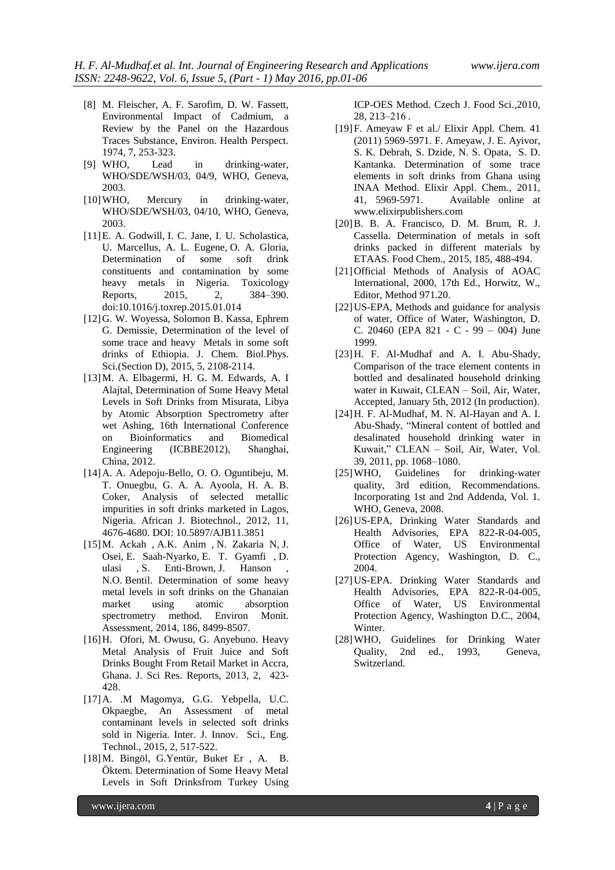- [8] M. Fleischer, A. F. Sarofim, D. W. Fassett, Environmental Impact of Cadmium, a Review by the Panel on the Hazardous Traces Substance, Environ. Health Perspect. 1974, 7, 253-323.
- [9] WHO, Lead in drinking-water, WHO/SDE/WSH/03, 04/9, WHO, Geneva, 2003.
- [10] WHO, Mercury in drinking-water, WHO/SDE/WSH/03, 04/10, WHO, Geneva, 2003.
- [11]E. A. [Godwill,](http://www.sciencedirect.com/science/article/pii/S2214750015000165) I. C. [Jane,](http://www.sciencedirect.com/science/article/pii/S2214750015000165) I. U. [Scholastica,](http://www.sciencedirect.com/science/article/pii/S2214750015000165) U. [Marcellus,](http://www.sciencedirect.com/science/article/pii/S2214750015000165) A. L. [Eugene,](http://www.sciencedirect.com/science/article/pii/S2214750015000165) O. A. [Gloria,](http://www.sciencedirect.com/science/article/pii/S2214750015000165) Determination of some soft drink constituents and contamination by some heavy metals in Nigeria. [Toxicology](http://www.sciencedirect.com/science/journal/22147500) [Reports,](http://www.sciencedirect.com/science/journal/22147500) 2015, 2, 384–390. [doi:10.1016/j.toxrep.2015.01.014](http://dx.doi.org/10.1016/j.toxrep.2015.01.014)
- [12]G. W. Woyessa, Solomon B. Kassa, Ephrem G. Demissie, Determination of the level of some trace and heavy Metals in some soft drinks of Ethiopia. J. Chem. Biol.Phys. Sci.(Section D), 2015, 5, 2108-2114.
- [13]M. A. Elbagermi, H. G. M. Edwards, A. I Alajtal, Determination of Some Heavy Metal Levels in Soft Drinks from Misurata, Libya by Atomic Absorption Spectrometry after wet Ashing, 16th International Conference on Bioinformatics and Biomedical Engineering (ICBBE2012), Shanghai, China, 2012.
- [14]A. A. Adepoju-Bello, O. O. Oguntibeju, M. T. Onuegbu, G. A. A. Ayoola, H. A. B. Coker, Analysis of selected metallic impurities in soft drinks marketed in Lagos, Nigeria. African J. Biotechnol., 2012, 11, 4676-4680. DOI: 10.5897/AJB11.3851
- [15]M. [Ackah ,](http://www.ncbi.nlm.nih.gov/pubmed/?term=Ackah%20M%5BAuthor%5D&cauthor=true&cauthor_uid=25179943) A.K. [Anim ,](http://www.ncbi.nlm.nih.gov/pubmed/?term=Anim%20AK%5BAuthor%5D&cauthor=true&cauthor_uid=25179943) N. [Zakaria N,](http://www.ncbi.nlm.nih.gov/pubmed/?term=Zakaria%20N%5BAuthor%5D&cauthor=true&cauthor_uid=25179943) J. [Osei,](http://www.ncbi.nlm.nih.gov/pubmed/?term=Osei%20J%5BAuthor%5D&cauthor=true&cauthor_uid=25179943) E. [Saah-Nyarko,](http://www.ncbi.nlm.nih.gov/pubmed/?term=Saah-Nyarko%20E%5BAuthor%5D&cauthor=true&cauthor_uid=25179943) E. T. [Gyamfi ,](http://www.ncbi.nlm.nih.gov/pubmed/?term=Gyamfi%20ET%5BAuthor%5D&cauthor=true&cauthor_uid=25179943) [D.](http://www.ncbi.nlm.nih.gov/pubmed/?term=Tulasi%20D%5BAuthor%5D&cauthor=true&cauthor_uid=25179943)  [ulasi ,](http://www.ncbi.nlm.nih.gov/pubmed/?term=Tulasi%20D%5BAuthor%5D&cauthor=true&cauthor_uid=25179943) S. [Enti-Brown,](http://www.ncbi.nlm.nih.gov/pubmed/?term=Enti-Brown%20S%5BAuthor%5D&cauthor=true&cauthor_uid=25179943) J. [Hanson ,](http://www.ncbi.nlm.nih.gov/pubmed/?term=Hanson%20J%5BAuthor%5D&cauthor=true&cauthor_uid=25179943) N.O. [Bentil.](http://www.ncbi.nlm.nih.gov/pubmed/?term=Bentil%20NO%5BAuthor%5D&cauthor=true&cauthor_uid=25179943) Determination of some heavy metal levels in soft drinks on the Ghanaian market using atomic absorption spectrometry method. [Environ Monit.](http://link.springer.com/journal/10661) [Assessment,](http://link.springer.com/journal/10661) 2014, 186, 8499-8507.
- [16]H. Ofori, M. Owusu, G. Anyebuno. Heavy Metal Analysis of Fruit Juice and Soft Drinks Bought From Retail Market in Accra, Ghana. J. Sci Res. Reports, 2013, 2, 423- 428.
- [17]A. .M Magomya, G.G. Yebpella, U.C. Okpaegbe, An Assessment of metal contaminant levels in selected soft drinks sold in Nigeria. Inter. J. Innov. Sci., Eng. Technol., 2015, 2, 517-522.
- [18]M. Bingöl, G.Yentür, Buket Er , A. B. Öktem. Determination of Some Heavy Metal Levels in Soft Drinksfrom Turkey Using

ICP-OES Method. Czech J. Food Sci.,2010, 28, 213–216 .

- [19]F. Ameyaw F et al./ Elixir Appl. Chem. 41 (2011) 5969-5971. F. Ameyaw, J. E. Ayivor, S. K. Debrah, S. Dzide, N. S. Opata, S. D. Kantanka. Determination of some trace elements in soft drinks from Ghana using INAA Method. Elixir Appl. Chem., 2011, 41, 5969-5971. Available online at www.elixirpublishers.com
- [20]B. B. A. Francisco, D. M. Brum, R. J. Cassella. Determination of metals in soft drinks packed in different materials by ETAAS. Food Chem., 2015, 185, 488-494.
- [21]Official Methods of Analysis of AOAC International, 2000, 17th Ed., Horwitz, W., Editor, Method 971.20.
- [22]US-EPA, Methods and guidance for analysis of water, Office of Water, Washington, D. C. 20460 (EPA 821 - C - 99 – 004) June 1999.
- [23]H. F. Al-Mudhaf and A. I. Abu-Shady, Comparison of the trace element contents in bottled and desalinated household drinking water in Kuwait, CLEAN – Soil, Air, Water, Accepted, January 5th, 2012 (In production).
- [24]H. F. Al-Mudhaf, M. N. Al-Hayan and A. I. Abu-Shady, "Mineral content of bottled and desalinated household drinking water in Kuwait," CLEAN – Soil, Air, Water, Vol. 39, 2011, pp. 1068–1080.
- [25]WHO, Guidelines for drinking-water quality, 3rd edition, Recommendations. Incorporating 1st and 2nd Addenda, Vol. 1. WHO, Geneva, 2008.
- [26]US-EPA, Drinking Water Standards and Health Advisories, EPA 822-R-04-005, Office of Water, US Environmental Protection Agency, Washington, D. C., 2004.
- [27]US-EPA. Drinking Water Standards and Health Advisories, EPA 822-R-04-005, Office of Water, US Environmental Protection Agency, Washington D.C., 2004, Winter.
- [28]WHO, Guidelines for Drinking Water Quality, 2nd ed., 1993, Geneva, Switzerland.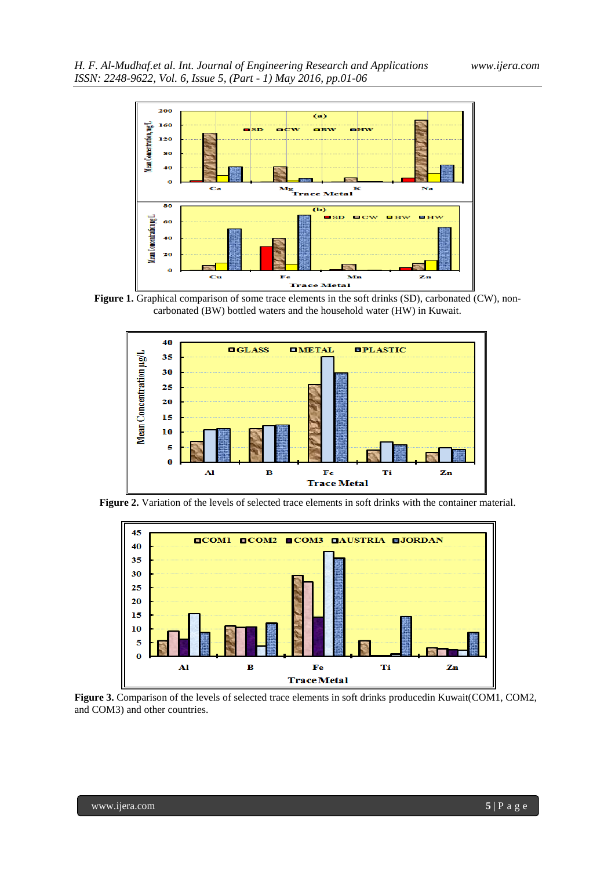

**Figure 1.** Graphical comparison of some trace elements in the soft drinks (SD), carbonated (CW), noncarbonated (BW) bottled waters and the household water (HW) in Kuwait.



Figure 2. Variation of the levels of selected trace elements in soft drinks with the container material.



**Figure 3.** Comparison of the levels of selected trace elements in soft drinks producedin Kuwait(COM1, COM2, and COM3) and other countries.